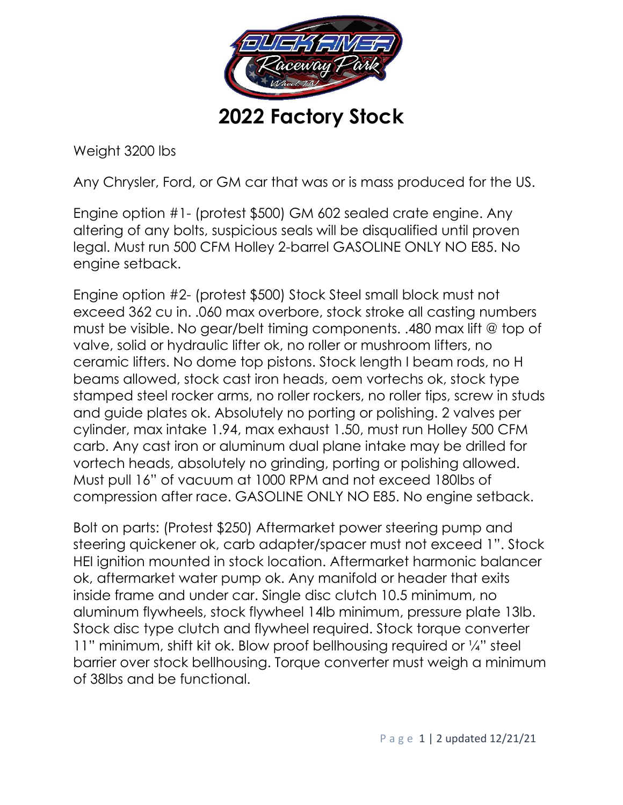

Weight 3200 lbs

Any Chrysler, Ford, or GM car that was or is mass produced for the US.

Engine option #1- (protest \$500) GM 602 sealed crate engine. Any altering of any bolts, suspicious seals will be disqualified until proven legal. Must run 500 CFM Holley 2-barrel GASOLINE ONLY NO E85. No engine setback.

Engine option #2- (protest \$500) Stock Steel small block must not exceed 362 cu in. .060 max overbore, stock stroke all casting numbers must be visible. No gear/belt timing components. .480 max lift @ top of valve, solid or hydraulic lifter ok, no roller or mushroom lifters, no ceramic lifters. No dome top pistons. Stock length I beam rods, no H beams allowed, stock cast iron heads, oem vortechs ok, stock type stamped steel rocker arms, no roller rockers, no roller tips, screw in studs and guide plates ok. Absolutely no porting or polishing. 2 valves per cylinder, max intake 1.94, max exhaust 1.50, must run Holley 500 CFM carb. Any cast iron or aluminum dual plane intake may be drilled for vortech heads, absolutely no grinding, porting or polishing allowed. Must pull 16" of vacuum at 1000 RPM and not exceed 180lbs of compression after race. GASOLINE ONLY NO E85. No engine setback.

Bolt on parts: (Protest \$250) Aftermarket power steering pump and steering quickener ok, carb adapter/spacer must not exceed 1". Stock HEI ignition mounted in stock location. Aftermarket harmonic balancer ok, aftermarket water pump ok. Any manifold or header that exits inside frame and under car. Single disc clutch 10.5 minimum, no aluminum flywheels, stock flywheel 14lb minimum, pressure plate 13lb. Stock disc type clutch and flywheel required. Stock torque converter 11" minimum, shift kit ok. Blow proof bellhousing required or ¼" steel barrier over stock bellhousing. Torque converter must weigh a minimum of 38lbs and be functional.